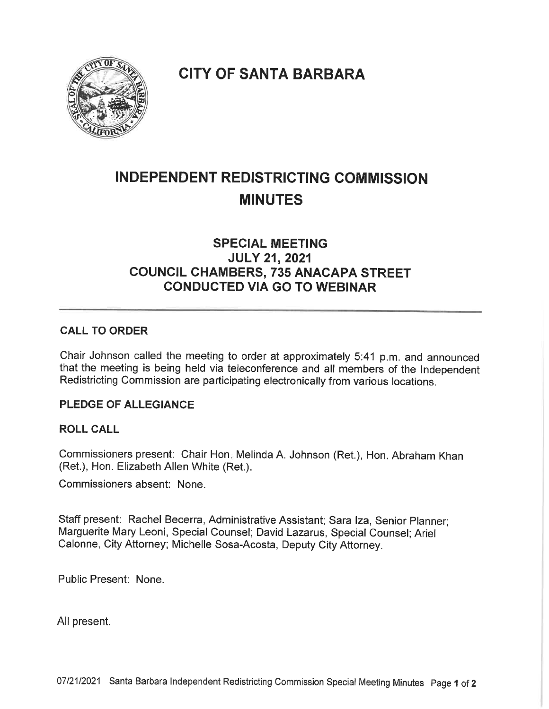**CITY OF SANTA BARBARA** 



# INDEPENDENT REDISTRICTING COMMISSION MINUTES

# SPECIAL MEETING JULY 21, 2021 COUNCIL CHAMBERS, 735 ANACAPA STREET CONDUCTED VIA GO TO WEBINAR

## CALL TO ORDER

Chair Johnson called the meeting to order at approximately 5:41 p. m. and announced that the meeting is being held via teleconference and all members of the Independent Redistricting Commission are participating electronically from various locations.

#### PLEDGE OF ALLEGIANCE

#### ROLL CALL

Commissioners present: Chair Hon, Melinda A. Johnson (Ret.), Hon. Abraham Khan (Ret.), Hon. Elizabeth Allen White (Ret.).

Commissioners absent: None.

Staff present: Rachel Becerra, Administrative Assistant; Sara Iza, Senior Planner; Marguerite Mary Leoni, Special Counsel; David Lazarus, Special Counsel; Ariel Calonne, City Attorney; Michelle Sosa-Acosta, Deputy City Attorney.

Public Present: None.

All present.